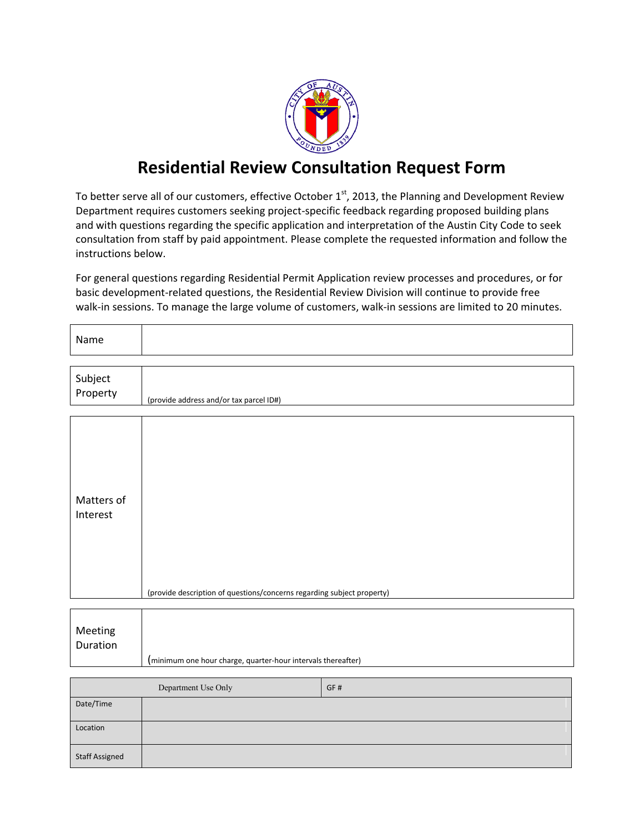

## **Residential Review Consultation Request Form**

To better serve all of our customers, effective October  $1<sup>st</sup>$ , 2013, the Planning and Development Review Department requires customers seeking project-specific feedback regarding proposed building plans and with questions regarding the specific application and interpretation of the Austin City Code to seek consultation from staff by paid appointment. Please complete the requested information and follow the instructions below.

For general questions regarding Residential Permit Application review processes and procedures, or for basic development-related questions, the Residential Review Division will continue to provide free walk-in sessions. To manage the large volume of customers, walk-in sessions are limited to 20 minutes.

| Name                       |                                                                        |  |  |  |  |
|----------------------------|------------------------------------------------------------------------|--|--|--|--|
| Subject<br>Property        | (provide address and/or tax parcel ID#)                                |  |  |  |  |
|                            |                                                                        |  |  |  |  |
| Matters of<br>Interest     | (provide description of questions/concerns regarding subject property) |  |  |  |  |
|                            |                                                                        |  |  |  |  |
| Meeting<br>Duration        | (minimum one hour charge, quarter-hour intervals thereafter)           |  |  |  |  |
|                            |                                                                        |  |  |  |  |
| Department Use Only<br>GF# |                                                                        |  |  |  |  |
| Date/Time                  |                                                                        |  |  |  |  |
| Location                   |                                                                        |  |  |  |  |
| <b>Staff Assigned</b>      |                                                                        |  |  |  |  |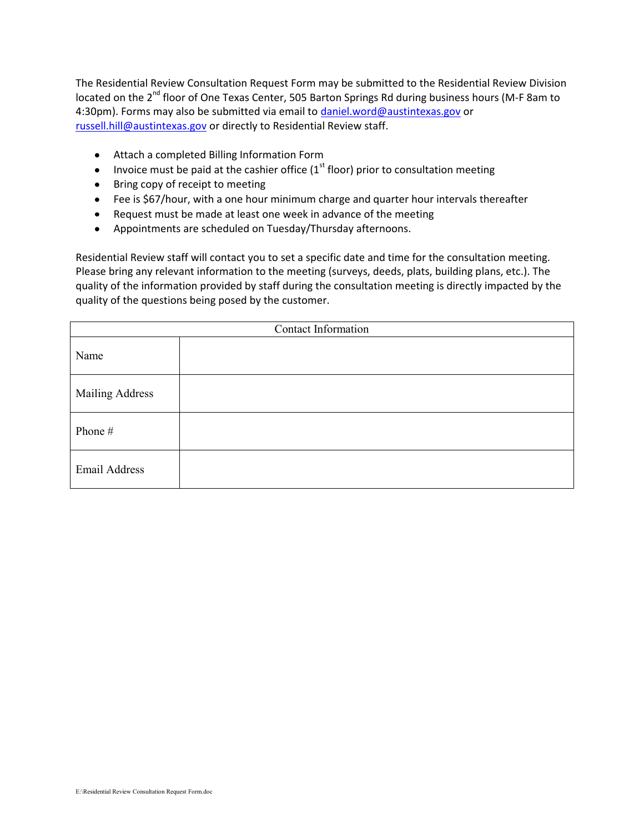The Residential Review Consultation Request Form may be submitted to the Residential Review Division located on the 2<sup>nd</sup> floor of One Texas Center, 505 Barton Springs Rd during business hours (M-F 8am to 4:30pm). Forms may also be submitted via email to [daniel.word@austintexas.gov](mailto:daniel.word@austintexas.gov) or [russell.hill@austintexas.gov](mailto:russell.hill@austintexas.gov) or directly to Residential Review staff.

- Attach a completed Billing Information Form
- Invoice must be paid at the cashier office ( $1<sup>st</sup>$  floor) prior to consultation meeting
- Bring copy of receipt to meeting
- Fee is \$67/hour, with a one hour minimum charge and quarter hour intervals thereafter
- Request must be made at least one week in advance of the meeting
- Appointments are scheduled on Tuesday/Thursday afternoons.  $\bullet$

Residential Review staff will contact you to set a specific date and time for the consultation meeting. Please bring any relevant information to the meeting (surveys, deeds, plats, building plans, etc.). The quality of the information provided by staff during the consultation meeting is directly impacted by the quality of the questions being posed by the customer.

| Contact Information    |  |  |  |  |
|------------------------|--|--|--|--|
| Name                   |  |  |  |  |
| <b>Mailing Address</b> |  |  |  |  |
| Phone #                |  |  |  |  |
| Email Address          |  |  |  |  |